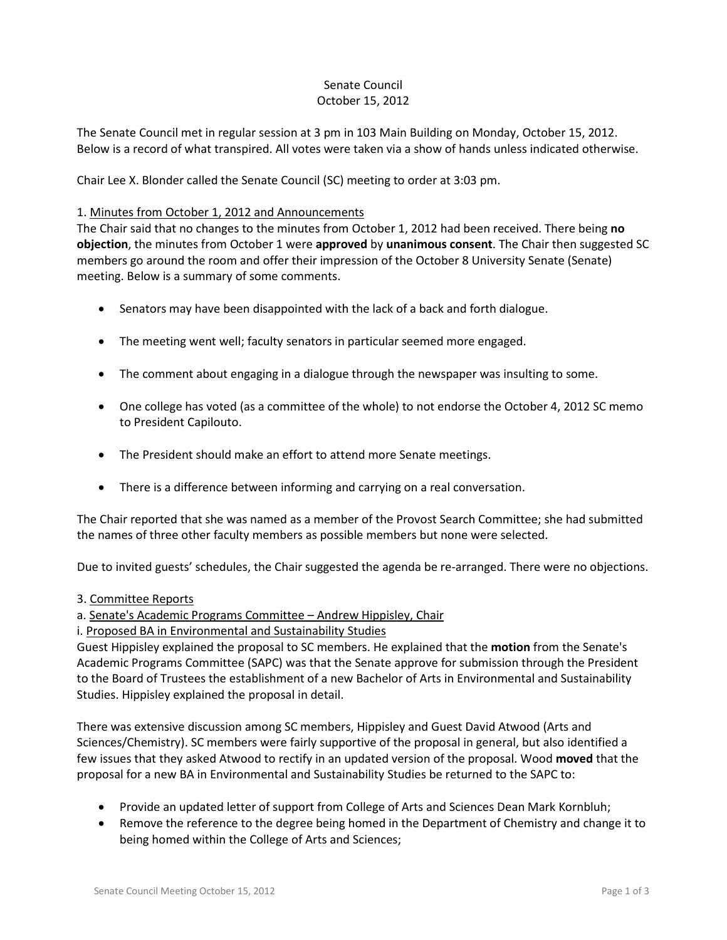# Senate Council October 15, 2012

The Senate Council met in regular session at 3 pm in 103 Main Building on Monday, October 15, 2012. Below is a record of what transpired. All votes were taken via a show of hands unless indicated otherwise.

Chair Lee X. Blonder called the Senate Council (SC) meeting to order at 3:03 pm.

## 1. Minutes from October 1, 2012 and Announcements

The Chair said that no changes to the minutes from October 1, 2012 had been received. There being **no objection**, the minutes from October 1 were **approved** by **unanimous consent**. The Chair then suggested SC members go around the room and offer their impression of the October 8 University Senate (Senate) meeting. Below is a summary of some comments.

- Senators may have been disappointed with the lack of a back and forth dialogue.
- The meeting went well; faculty senators in particular seemed more engaged.
- The comment about engaging in a dialogue through the newspaper was insulting to some.
- One college has voted (as a committee of the whole) to not endorse the October 4, 2012 SC memo to President Capilouto.
- The President should make an effort to attend more Senate meetings.
- There is a difference between informing and carrying on a real conversation.

The Chair reported that she was named as a member of the Provost Search Committee; she had submitted the names of three other faculty members as possible members but none were selected.

Due to invited guests' schedules, the Chair suggested the agenda be re-arranged. There were no objections.

- 3. Committee Reports
- a. Senate's Academic Programs Committee Andrew Hippisley, Chair
- i. Proposed BA in Environmental and Sustainability Studies

Guest Hippisley explained the proposal to SC members. He explained that the **motion** from the Senate's Academic Programs Committee (SAPC) was that the Senate approve for submission through the President to the Board of Trustees the establishment of a new Bachelor of Arts in Environmental and Sustainability Studies. Hippisley explained the proposal in detail.

There was extensive discussion among SC members, Hippisley and Guest David Atwood (Arts and Sciences/Chemistry). SC members were fairly supportive of the proposal in general, but also identified a few issues that they asked Atwood to rectify in an updated version of the proposal. Wood **moved** that the proposal for a new BA in Environmental and Sustainability Studies be returned to the SAPC to:

- Provide an updated letter of support from College of Arts and Sciences Dean Mark Kornbluh;
- Remove the reference to the degree being homed in the Department of Chemistry and change it to being homed within the College of Arts and Sciences;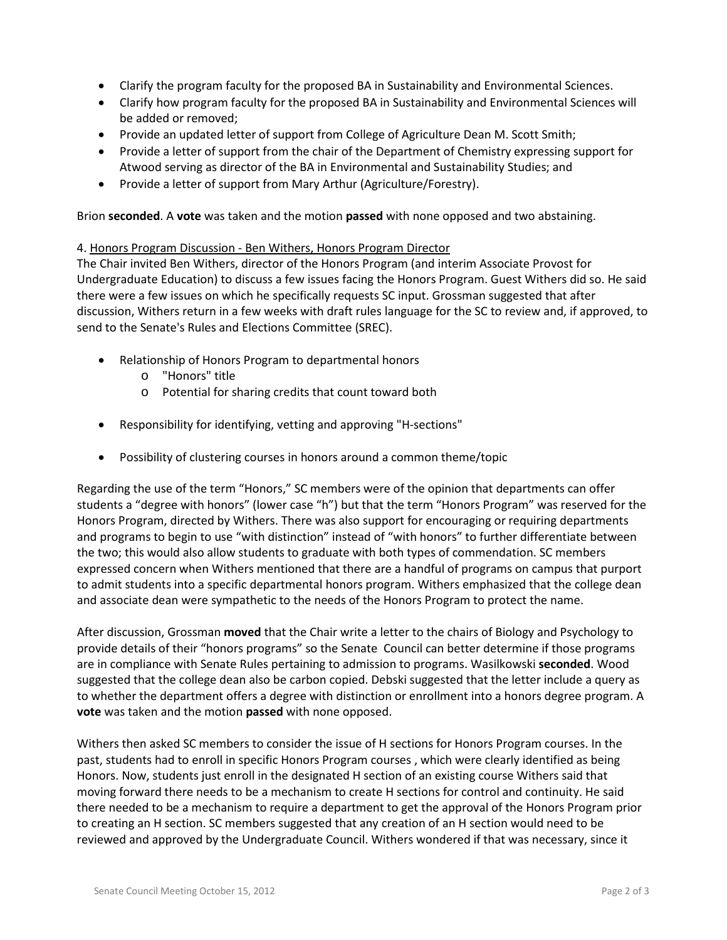- Clarify the program faculty for the proposed BA in Sustainability and Environmental Sciences.
- Clarify how program faculty for the proposed BA in Sustainability and Environmental Sciences will be added or removed;
- Provide an updated letter of support from College of Agriculture Dean M. Scott Smith;
- Provide a letter of support from the chair of the Department of Chemistry expressing support for Atwood serving as director of the BA in Environmental and Sustainability Studies; and
- Provide a letter of support from Mary Arthur (Agriculture/Forestry).

Brion **seconded**. A **vote** was taken and the motion **passed** with none opposed and two abstaining.

### 4. Honors Program Discussion - Ben Withers, Honors Program Director

The Chair invited Ben Withers, director of the Honors Program (and interim Associate Provost for Undergraduate Education) to discuss a few issues facing the Honors Program. Guest Withers did so. He said there were a few issues on which he specifically requests SC input. Grossman suggested that after discussion, Withers return in a few weeks with draft rules language for the SC to review and, if approved, to send to the Senate's Rules and Elections Committee (SREC).

- Relationship of Honors Program to departmental honors
	- o "Honors" title
	- o Potential for sharing credits that count toward both
- Responsibility for identifying, vetting and approving "H-sections"
- Possibility of clustering courses in honors around a common theme/topic

Regarding the use of the term "Honors," SC members were of the opinion that departments can offer students a "degree with honors" (lower case "h") but that the term "Honors Program" was reserved for the Honors Program, directed by Withers. There was also support for encouraging or requiring departments and programs to begin to use "with distinction" instead of "with honors" to further differentiate between the two; this would also allow students to graduate with both types of commendation. SC members expressed concern when Withers mentioned that there are a handful of programs on campus that purport to admit students into a specific departmental honors program. Withers emphasized that the college dean and associate dean were sympathetic to the needs of the Honors Program to protect the name.

After discussion, Grossman **moved** that the Chair write a letter to the chairs of Biology and Psychology to provide details of their "honors programs" so the Senate Council can better determine if those programs are in compliance with Senate Rules pertaining to admission to programs. Wasilkowski **seconded**. Wood suggested that the college dean also be carbon copied. Debski suggested that the letter include a query as to whether the department offers a degree with distinction or enrollment into a honors degree program. A **vote** was taken and the motion **passed** with none opposed.

Withers then asked SC members to consider the issue of H sections for Honors Program courses. In the past, students had to enroll in specific Honors Program courses , which were clearly identified as being Honors. Now, students just enroll in the designated H section of an existing course Withers said that moving forward there needs to be a mechanism to create H sections for control and continuity. He said there needed to be a mechanism to require a department to get the approval of the Honors Program prior to creating an H section. SC members suggested that any creation of an H section would need to be reviewed and approved by the Undergraduate Council. Withers wondered if that was necessary, since it